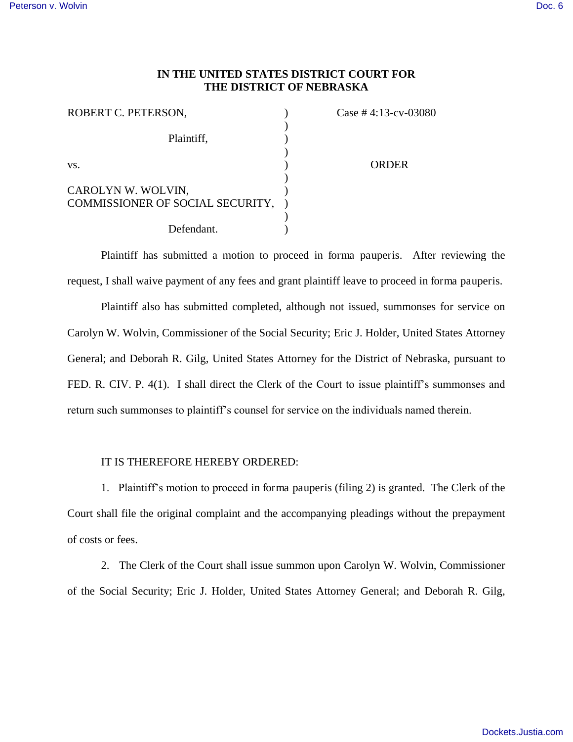## **IN THE UNITED STATES DISTRICT COURT FOR THE DISTRICT OF NEBRASKA**

| ROBERT C. PETERSON,                                    | Case # 4:13-cv-03080 |
|--------------------------------------------------------|----------------------|
| Plaintiff,                                             |                      |
| VS.                                                    | <b>ORDER</b>         |
| CAROLYN W. WOLVIN,<br>COMMISSIONER OF SOCIAL SECURITY, |                      |
| Defendant.                                             |                      |

Plaintiff has submitted a motion to proceed in forma pauperis. After reviewing the request, I shall waive payment of any fees and grant plaintiff leave to proceed in forma pauperis.

Plaintiff also has submitted completed, although not issued, summonses for service on Carolyn W. Wolvin, Commissioner of the Social Security; Eric J. Holder, United States Attorney General; and Deborah R. Gilg, United States Attorney for the District of Nebraska, pursuant to FED. R. CIV. P. 4(1). I shall direct the Clerk of the Court to issue plaintiff's summonses and return such summonses to plaintiff's counsel for service on the individuals named therein.

## IT IS THEREFORE HEREBY ORDERED:

1. Plaintiff's motion to proceed in forma pauperis (filing 2) is granted. The Clerk of the Court shall file the original complaint and the accompanying pleadings without the prepayment of costs or fees.

2. The Clerk of the Court shall issue summon upon Carolyn W. Wolvin, Commissioner of the Social Security; Eric J. Holder, United States Attorney General; and Deborah R. Gilg,